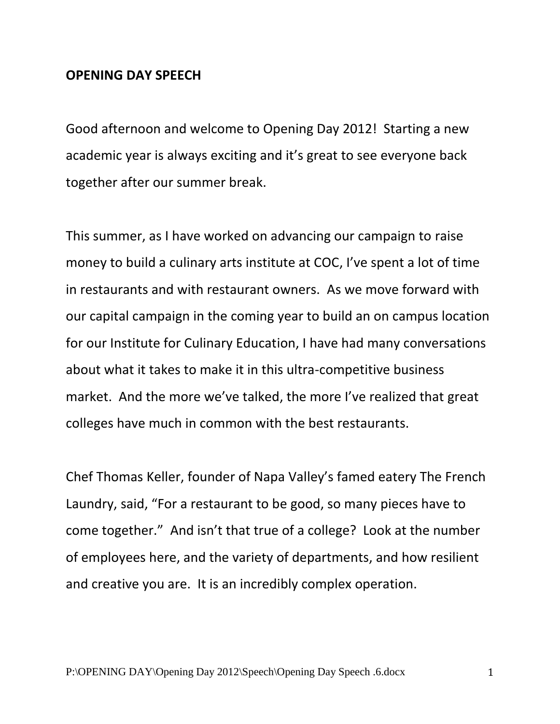## **OPENING DAY SPEECH**

Good afternoon and welcome to Opening Day 2012! Starting a new academic year is always exciting and it's great to see everyone back together after our summer break.

This summer, as I have worked on advancing our campaign to raise money to build a culinary arts institute at COC, I've spent a lot of time in restaurants and with restaurant owners. As we move forward with our capital campaign in the coming year to build an on campus location for our Institute for Culinary Education, I have had many conversations about what it takes to make it in this ultra-competitive business market. And the more we've talked, the more I've realized that great colleges have much in common with the best restaurants.

Chef Thomas Keller, founder of Napa Valley's famed eatery The French Laundry, said, "For a restaurant to be good, so many pieces have to come together." And isn't that true of a college? Look at the number of employees here, and the variety of departments, and how resilient and creative you are. It is an incredibly complex operation.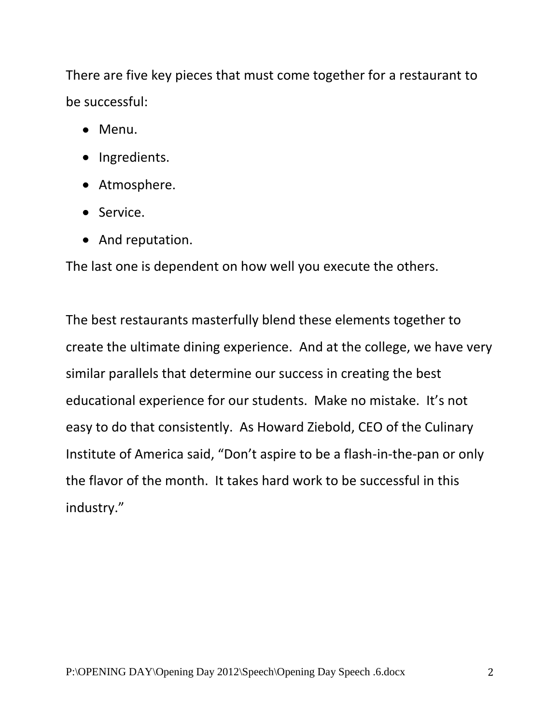There are five key pieces that must come together for a restaurant to be successful:

- Menu.
- Ingredients.
- Atmosphere.
- Service.
- And reputation.

The last one is dependent on how well you execute the others.

The best restaurants masterfully blend these elements together to create the ultimate dining experience. And at the college, we have very similar parallels that determine our success in creating the best educational experience for our students. Make no mistake. It's not easy to do that consistently. As Howard Ziebold, CEO of the Culinary Institute of America said, "Don't aspire to be a flash-in-the-pan or only the flavor of the month. It takes hard work to be successful in this industry."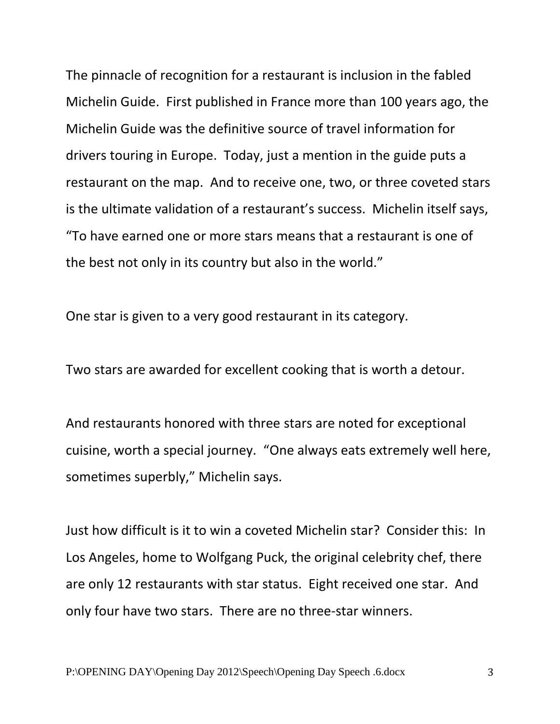The pinnacle of recognition for a restaurant is inclusion in the fabled Michelin Guide. First published in France more than 100 years ago, the Michelin Guide was the definitive source of travel information for drivers touring in Europe. Today, just a mention in the guide puts a restaurant on the map. And to receive one, two, or three coveted stars is the ultimate validation of a restaurant's success. Michelin itself says, "To have earned one or more stars means that a restaurant is one of the best not only in its country but also in the world."

One star is given to a very good restaurant in its category.

Two stars are awarded for excellent cooking that is worth a detour.

And restaurants honored with three stars are noted for exceptional cuisine, worth a special journey. "One always eats extremely well here, sometimes superbly," Michelin says.

Just how difficult is it to win a coveted Michelin star? Consider this: In Los Angeles, home to Wolfgang Puck, the original celebrity chef, there are only 12 restaurants with star status. Eight received one star. And only four have two stars. There are no three-star winners.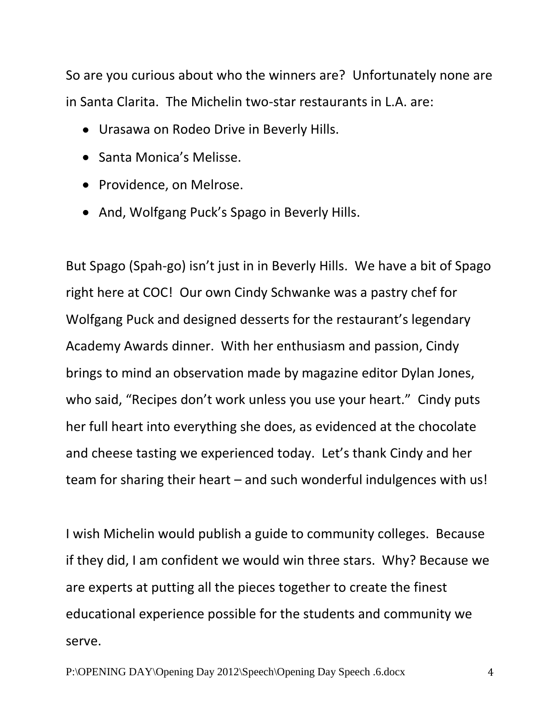So are you curious about who the winners are? Unfortunately none are in Santa Clarita. The Michelin two-star restaurants in L.A. are:

- Urasawa on Rodeo Drive in Beverly Hills.
- Santa Monica's Melisse.
- Providence, on Melrose.
- And, Wolfgang Puck's Spago in Beverly Hills.

But Spago (Spah-go) isn't just in in Beverly Hills. We have a bit of Spago right here at COC! Our own Cindy Schwanke was a pastry chef for Wolfgang Puck and designed desserts for the restaurant's legendary Academy Awards dinner. With her enthusiasm and passion, Cindy brings to mind an observation made by magazine editor Dylan Jones, who said, "Recipes don't work unless you use your heart." Cindy puts her full heart into everything she does, as evidenced at the chocolate and cheese tasting we experienced today. Let's thank Cindy and her team for sharing their heart – and such wonderful indulgences with us!

I wish Michelin would publish a guide to community colleges. Because if they did, I am confident we would win three stars. Why? Because we are experts at putting all the pieces together to create the finest educational experience possible for the students and community we serve.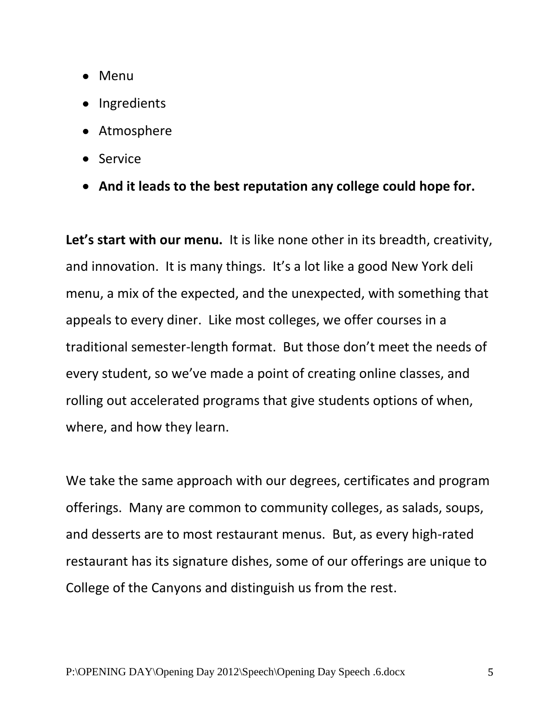- Menu
- Ingredients
- Atmosphere
- Service
- **And it leads to the best reputation any college could hope for.**

**Let's start with our menu.** It is like none other in its breadth, creativity, and innovation. It is many things. It's a lot like a good New York deli menu, a mix of the expected, and the unexpected, with something that appeals to every diner. Like most colleges, we offer courses in a traditional semester-length format. But those don't meet the needs of every student, so we've made a point of creating online classes, and rolling out accelerated programs that give students options of when, where, and how they learn.

We take the same approach with our degrees, certificates and program offerings. Many are common to community colleges, as salads, soups, and desserts are to most restaurant menus. But, as every high-rated restaurant has its signature dishes, some of our offerings are unique to College of the Canyons and distinguish us from the rest.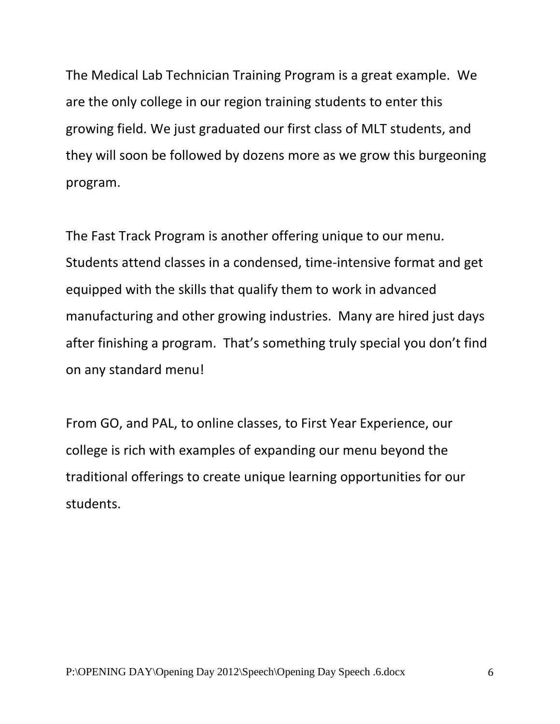The Medical Lab Technician Training Program is a great example. We are the only college in our region training students to enter this growing field. We just graduated our first class of MLT students, and they will soon be followed by dozens more as we grow this burgeoning program.

The Fast Track Program is another offering unique to our menu. Students attend classes in a condensed, time-intensive format and get equipped with the skills that qualify them to work in advanced manufacturing and other growing industries. Many are hired just days after finishing a program. That's something truly special you don't find on any standard menu!

From GO, and PAL, to online classes, to First Year Experience, our college is rich with examples of expanding our menu beyond the traditional offerings to create unique learning opportunities for our students.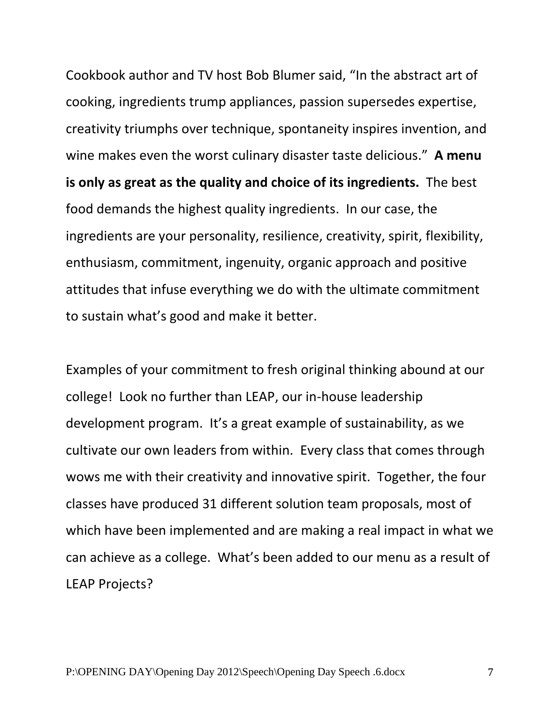Cookbook author and TV host Bob Blumer said, "In the abstract art of cooking, ingredients trump appliances, passion supersedes expertise, creativity triumphs over technique, spontaneity inspires invention, and wine makes even the worst culinary disaster taste delicious." **A menu is only as great as the quality and choice of its ingredients.** The best food demands the highest quality ingredients. In our case, the ingredients are your personality, resilience, creativity, spirit, flexibility, enthusiasm, commitment, ingenuity, organic approach and positive attitudes that infuse everything we do with the ultimate commitment to sustain what's good and make it better.

Examples of your commitment to fresh original thinking abound at our college! Look no further than LEAP, our in-house leadership development program. It's a great example of sustainability, as we cultivate our own leaders from within. Every class that comes through wows me with their creativity and innovative spirit. Together, the four classes have produced 31 different solution team proposals, most of which have been implemented and are making a real impact in what we can achieve as a college. What's been added to our menu as a result of LEAP Projects?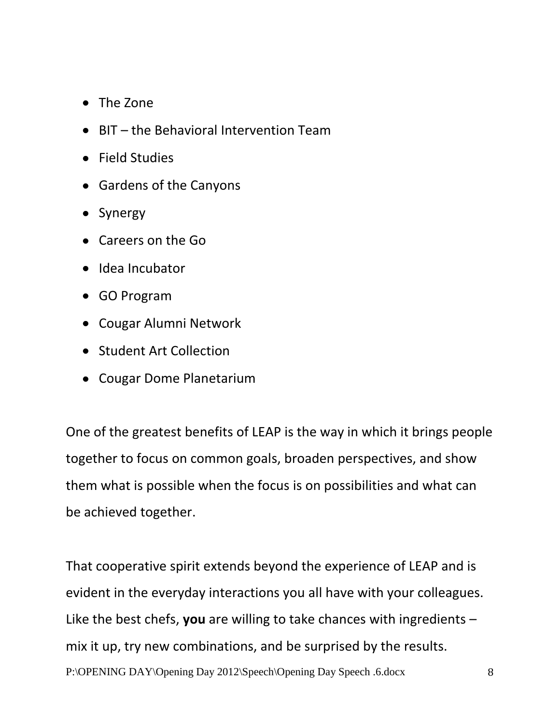- The Zone
- BIT the Behavioral Intervention Team
- Field Studies
- Gardens of the Canyons
- Synergy
- Careers on the Go
- Idea Incubator
- GO Program
- Cougar Alumni Network
- Student Art Collection
- Cougar Dome Planetarium

One of the greatest benefits of LEAP is the way in which it brings people together to focus on common goals, broaden perspectives, and show them what is possible when the focus is on possibilities and what can be achieved together.

P:\OPENING DAY\Opening Day 2012\Speech\Opening Day Speech .6.docx 8 That cooperative spirit extends beyond the experience of LEAP and is evident in the everyday interactions you all have with your colleagues. Like the best chefs, **you** are willing to take chances with ingredients – mix it up, try new combinations, and be surprised by the results.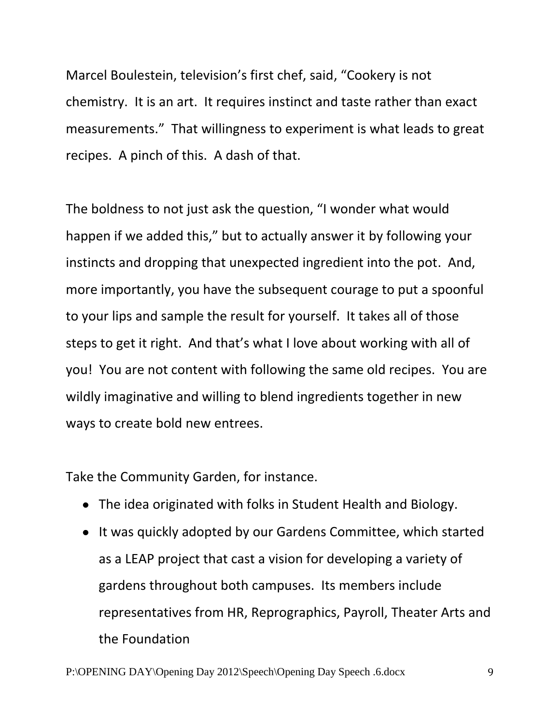Marcel Boulestein, television's first chef, said, "Cookery is not chemistry. It is an art. It requires instinct and taste rather than exact measurements." That willingness to experiment is what leads to great recipes. A pinch of this. A dash of that.

The boldness to not just ask the question, "I wonder what would happen if we added this," but to actually answer it by following your instincts and dropping that unexpected ingredient into the pot. And, more importantly, you have the subsequent courage to put a spoonful to your lips and sample the result for yourself. It takes all of those steps to get it right. And that's what I love about working with all of you! You are not content with following the same old recipes. You are wildly imaginative and willing to blend ingredients together in new ways to create bold new entrees.

Take the Community Garden, for instance.

- The idea originated with folks in Student Health and Biology.
- It was quickly adopted by our Gardens Committee, which started as a LEAP project that cast a vision for developing a variety of gardens throughout both campuses. Its members include representatives from HR, Reprographics, Payroll, Theater Arts and the Foundation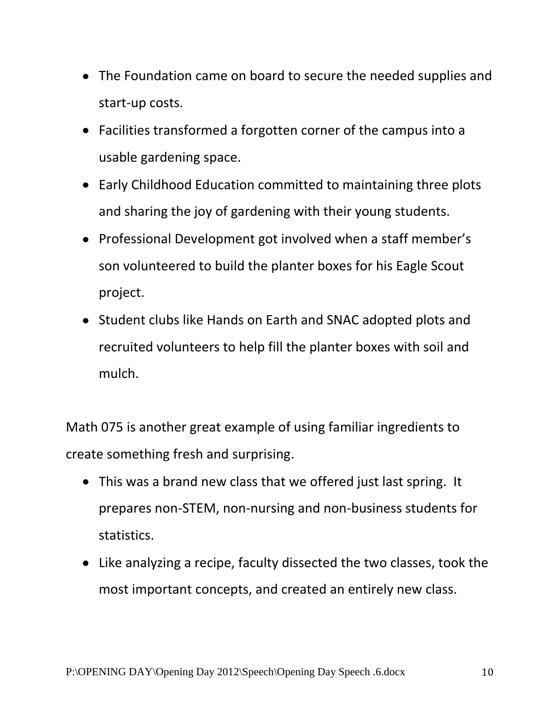- The Foundation came on board to secure the needed supplies and start-up costs.
- Facilities transformed a forgotten corner of the campus into a usable gardening space.
- Early Childhood Education committed to maintaining three plots and sharing the joy of gardening with their young students.
- Professional Development got involved when a staff member's son volunteered to build the planter boxes for his Eagle Scout project.
- Student clubs like Hands on Earth and SNAC adopted plots and recruited volunteers to help fill the planter boxes with soil and mulch.

Math 075 is another great example of using familiar ingredients to create something fresh and surprising.

- This was a brand new class that we offered just last spring. It prepares non-STEM, non-nursing and non-business students for statistics.
- Like analyzing a recipe, faculty dissected the two classes, took the most important concepts, and created an entirely new class.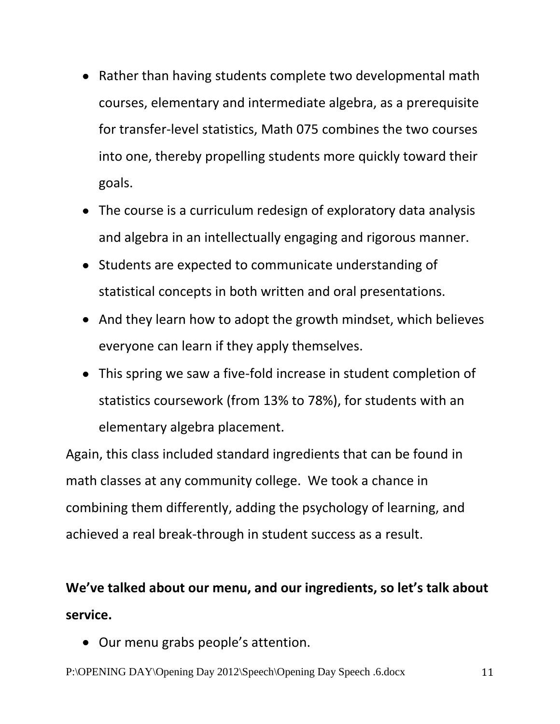- Rather than having students complete two developmental math courses, elementary and intermediate algebra, as a prerequisite for transfer-level statistics, Math 075 combines the two courses into one, thereby propelling students more quickly toward their goals.
- The course is a curriculum redesign of exploratory data analysis and algebra in an intellectually engaging and rigorous manner.
- Students are expected to communicate understanding of statistical concepts in both written and oral presentations.
- And they learn how to adopt the growth mindset, which believes everyone can learn if they apply themselves.
- This spring we saw a five-fold increase in student completion of statistics coursework (from 13% to 78%), for students with an elementary algebra placement.

Again, this class included standard ingredients that can be found in math classes at any community college. We took a chance in combining them differently, adding the psychology of learning, and achieved a real break-through in student success as a result.

## **We've talked about our menu, and our ingredients, so let's talk about service.**

Our menu grabs people's attention.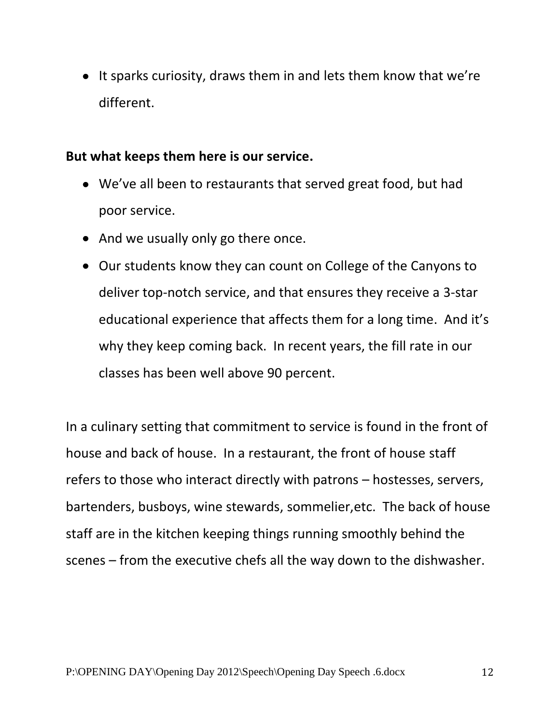• It sparks curiosity, draws them in and lets them know that we're different.

## **But what keeps them here is our service.**

- We've all been to restaurants that served great food, but had poor service.
- And we usually only go there once.
- Our students know they can count on College of the Canyons to deliver top-notch service, and that ensures they receive a 3-star educational experience that affects them for a long time. And it's why they keep coming back. In recent years, the fill rate in our classes has been well above 90 percent.

In a culinary setting that commitment to service is found in the front of house and back of house. In a restaurant, the front of house staff refers to those who interact directly with patrons – hostesses, servers, bartenders, busboys, wine stewards, sommelier,etc. The back of house staff are in the kitchen keeping things running smoothly behind the scenes – from the executive chefs all the way down to the dishwasher.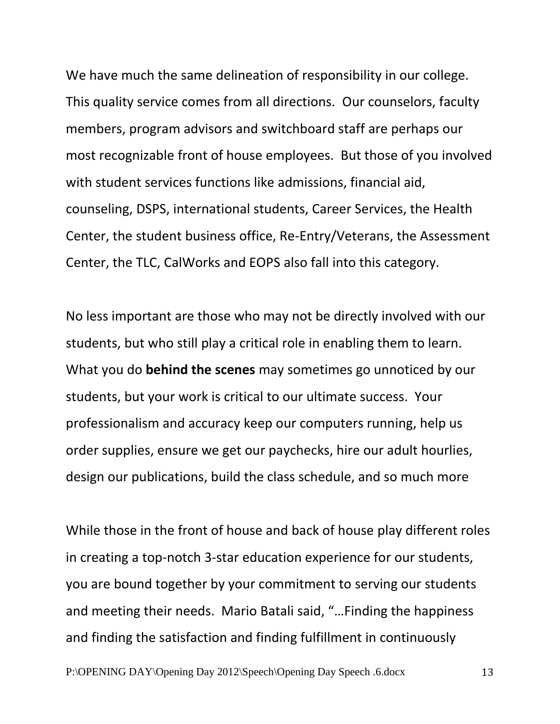We have much the same delineation of responsibility in our college. This quality service comes from all directions. Our counselors, faculty members, program advisors and switchboard staff are perhaps our most recognizable front of house employees. But those of you involved with student services functions like admissions, financial aid, counseling, DSPS, international students, Career Services, the Health Center, the student business office, Re-Entry/Veterans, the Assessment Center, the TLC, CalWorks and EOPS also fall into this category.

No less important are those who may not be directly involved with our students, but who still play a critical role in enabling them to learn. What you do **behind the scenes** may sometimes go unnoticed by our students, but your work is critical to our ultimate success. Your professionalism and accuracy keep our computers running, help us order supplies, ensure we get our paychecks, hire our adult hourlies, design our publications, build the class schedule, and so much more

While those in the front of house and back of house play different roles in creating a top-notch 3-star education experience for our students, you are bound together by your commitment to serving our students and meeting their needs. Mario Batali said, "…Finding the happiness and finding the satisfaction and finding fulfillment in continuously

P:\OPENING DAY\Opening Day 2012\Speech\Opening Day Speech .6.docx 13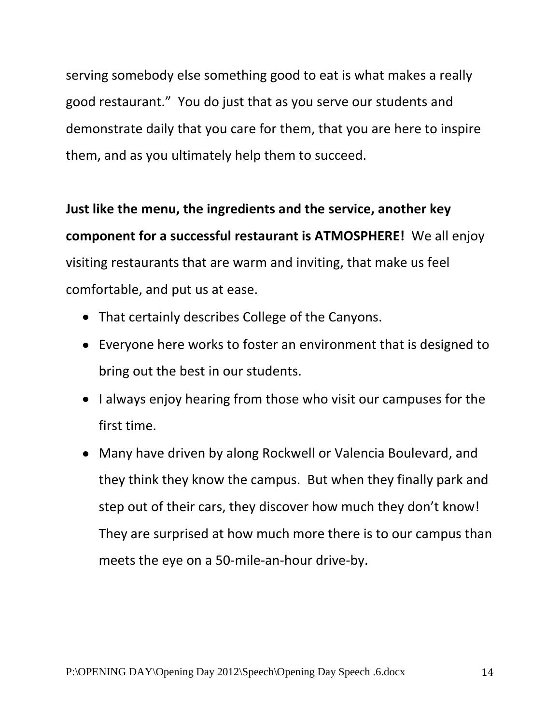serving somebody else something good to eat is what makes a really good restaurant." You do just that as you serve our students and demonstrate daily that you care for them, that you are here to inspire them, and as you ultimately help them to succeed.

**Just like the menu, the ingredients and the service, another key component for a successful restaurant is ATMOSPHERE!** We all enjoy visiting restaurants that are warm and inviting, that make us feel comfortable, and put us at ease.

- That certainly describes College of the Canyons.
- Everyone here works to foster an environment that is designed to bring out the best in our students.
- I always enjoy hearing from those who visit our campuses for the first time.
- Many have driven by along Rockwell or Valencia Boulevard, and they think they know the campus. But when they finally park and step out of their cars, they discover how much they don't know! They are surprised at how much more there is to our campus than meets the eye on a 50-mile-an-hour drive-by.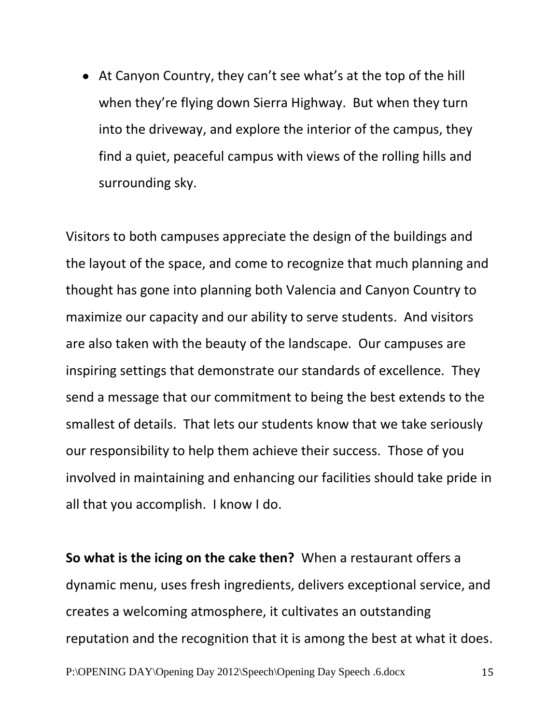At Canyon Country, they can't see what's at the top of the hill when they're flying down Sierra Highway. But when they turn into the driveway, and explore the interior of the campus, they find a quiet, peaceful campus with views of the rolling hills and surrounding sky.

Visitors to both campuses appreciate the design of the buildings and the layout of the space, and come to recognize that much planning and thought has gone into planning both Valencia and Canyon Country to maximize our capacity and our ability to serve students. And visitors are also taken with the beauty of the landscape. Our campuses are inspiring settings that demonstrate our standards of excellence. They send a message that our commitment to being the best extends to the smallest of details. That lets our students know that we take seriously our responsibility to help them achieve their success. Those of you involved in maintaining and enhancing our facilities should take pride in all that you accomplish. I know I do.

P:\OPENING DAY\Opening Day 2012\Speech\Opening Day Speech .6.docx 15 **So what is the icing on the cake then?** When a restaurant offers a dynamic menu, uses fresh ingredients, delivers exceptional service, and creates a welcoming atmosphere, it cultivates an outstanding reputation and the recognition that it is among the best at what it does.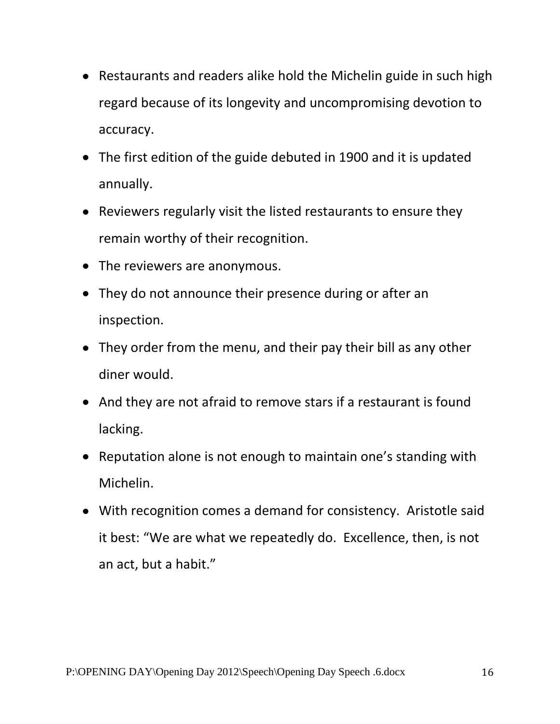- Restaurants and readers alike hold the Michelin guide in such high regard because of its longevity and uncompromising devotion to accuracy.
- The first edition of the guide debuted in 1900 and it is updated annually.
- Reviewers regularly visit the listed restaurants to ensure they remain worthy of their recognition.
- The reviewers are anonymous.
- They do not announce their presence during or after an inspection.
- They order from the menu, and their pay their bill as any other diner would.
- And they are not afraid to remove stars if a restaurant is found lacking.
- Reputation alone is not enough to maintain one's standing with Michelin.
- With recognition comes a demand for consistency. Aristotle said it best: "We are what we repeatedly do. Excellence, then, is not an act, but a habit."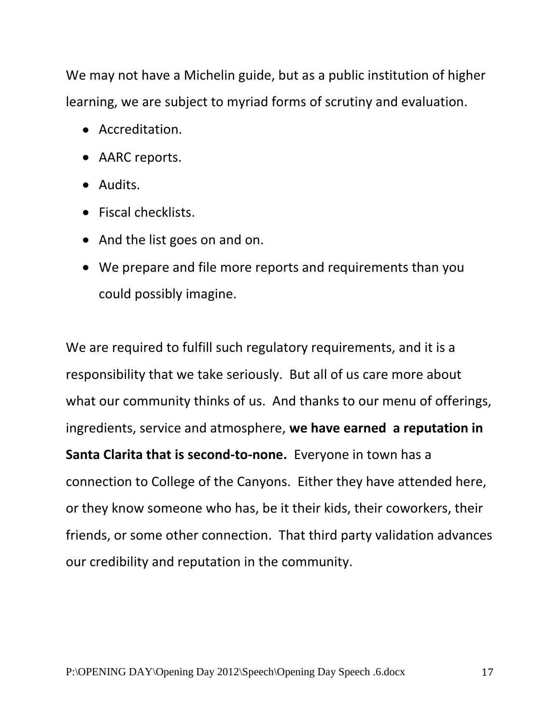We may not have a Michelin guide, but as a public institution of higher learning, we are subject to myriad forms of scrutiny and evaluation.

- Accreditation.
- AARC reports.
- Audits.
- Fiscal checklists.
- And the list goes on and on.
- We prepare and file more reports and requirements than you could possibly imagine.

We are required to fulfill such regulatory requirements, and it is a responsibility that we take seriously. But all of us care more about what our community thinks of us. And thanks to our menu of offerings, ingredients, service and atmosphere, **we have earned a reputation in Santa Clarita that is second-to-none.** Everyone in town has a connection to College of the Canyons. Either they have attended here, or they know someone who has, be it their kids, their coworkers, their friends, or some other connection. That third party validation advances our credibility and reputation in the community.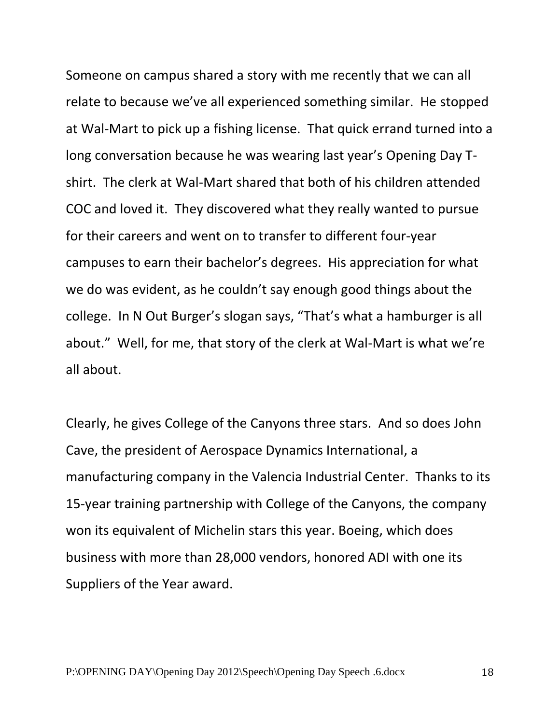Someone on campus shared a story with me recently that we can all relate to because we've all experienced something similar. He stopped at Wal-Mart to pick up a fishing license. That quick errand turned into a long conversation because he was wearing last year's Opening Day Tshirt. The clerk at Wal-Mart shared that both of his children attended COC and loved it. They discovered what they really wanted to pursue for their careers and went on to transfer to different four-year campuses to earn their bachelor's degrees. His appreciation for what we do was evident, as he couldn't say enough good things about the college. In N Out Burger's slogan says, "That's what a hamburger is all about." Well, for me, that story of the clerk at Wal-Mart is what we're all about.

Clearly, he gives College of the Canyons three stars. And so does John Cave, the president of Aerospace Dynamics International, a manufacturing company in the Valencia Industrial Center. Thanks to its 15-year training partnership with College of the Canyons, the company won its equivalent of Michelin stars this year. Boeing, which does business with more than 28,000 vendors, honored ADI with one its Suppliers of the Year award.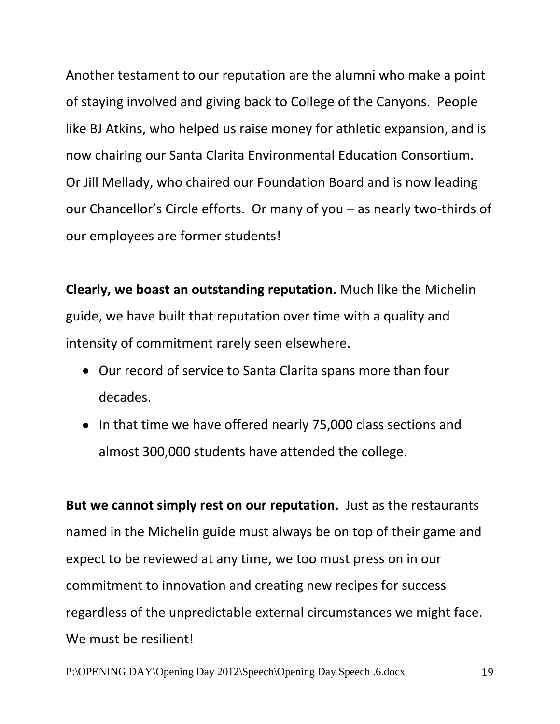Another testament to our reputation are the alumni who make a point of staying involved and giving back to College of the Canyons. People like BJ Atkins, who helped us raise money for athletic expansion, and is now chairing our Santa Clarita Environmental Education Consortium. Or Jill Mellady, who chaired our Foundation Board and is now leading our Chancellor's Circle efforts. Or many of you – as nearly two-thirds of our employees are former students!

**Clearly, we boast an outstanding reputation.** Much like the Michelin guide, we have built that reputation over time with a quality and intensity of commitment rarely seen elsewhere.

- Our record of service to Santa Clarita spans more than four decades.
- In that time we have offered nearly 75,000 class sections and almost 300,000 students have attended the college.

**But we cannot simply rest on our reputation.** Just as the restaurants named in the Michelin guide must always be on top of their game and expect to be reviewed at any time, we too must press on in our commitment to innovation and creating new recipes for success regardless of the unpredictable external circumstances we might face. We must be resilient!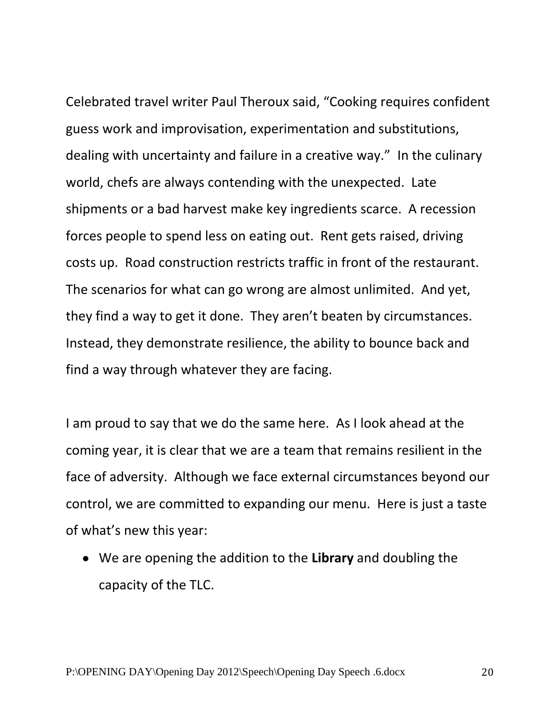Celebrated travel writer Paul Theroux said, "Cooking requires confident guess work and improvisation, experimentation and substitutions, dealing with uncertainty and failure in a creative way." In the culinary world, chefs are always contending with the unexpected. Late shipments or a bad harvest make key ingredients scarce. A recession forces people to spend less on eating out. Rent gets raised, driving costs up. Road construction restricts traffic in front of the restaurant. The scenarios for what can go wrong are almost unlimited. And yet, they find a way to get it done. They aren't beaten by circumstances. Instead, they demonstrate resilience, the ability to bounce back and find a way through whatever they are facing.

I am proud to say that we do the same here. As I look ahead at the coming year, it is clear that we are a team that remains resilient in the face of adversity. Although we face external circumstances beyond our control, we are committed to expanding our menu. Here is just a taste of what's new this year:

We are opening the addition to the **Library** and doubling the capacity of the TLC.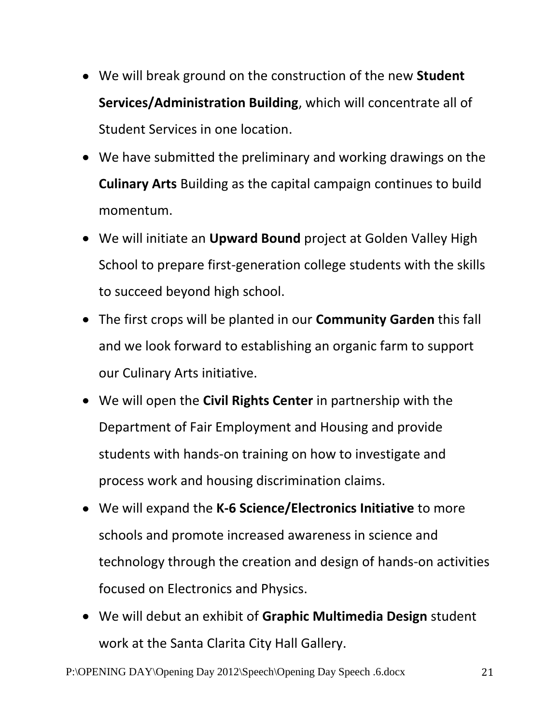- We will break ground on the construction of the new **Student Services/Administration Building**, which will concentrate all of Student Services in one location.
- We have submitted the preliminary and working drawings on the **Culinary Arts** Building as the capital campaign continues to build momentum.
- We will initiate an **Upward Bound** project at Golden Valley High School to prepare first-generation college students with the skills to succeed beyond high school.
- The first crops will be planted in our **Community Garden** this fall and we look forward to establishing an organic farm to support our Culinary Arts initiative.
- We will open the **Civil Rights Center** in partnership with the Department of Fair Employment and Housing and provide students with hands-on training on how to investigate and process work and housing discrimination claims.
- We will expand the **K-6 Science/Electronics Initiative** to more schools and promote increased awareness in science and technology through the creation and design of hands-on activities focused on Electronics and Physics.
- We will debut an exhibit of **Graphic Multimedia Design** student work at the Santa Clarita City Hall Gallery.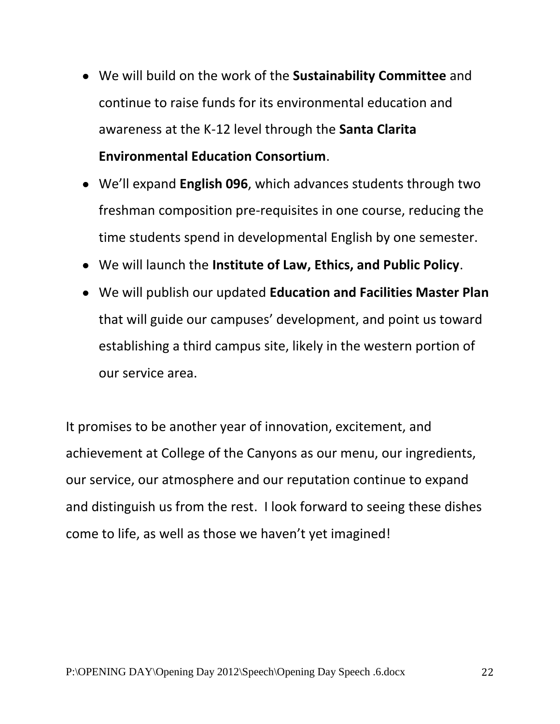- We will build on the work of the **Sustainability Committee** and continue to raise funds for its environmental education and awareness at the K-12 level through the **Santa Clarita Environmental Education Consortium**.
- We'll expand **English 096**, which advances students through two freshman composition pre-requisites in one course, reducing the time students spend in developmental English by one semester.
- We will launch the **Institute of Law, Ethics, and Public Policy**.
- We will publish our updated **Education and Facilities Master Plan** that will guide our campuses' development, and point us toward establishing a third campus site, likely in the western portion of our service area.

It promises to be another year of innovation, excitement, and achievement at College of the Canyons as our menu, our ingredients, our service, our atmosphere and our reputation continue to expand and distinguish us from the rest. I look forward to seeing these dishes come to life, as well as those we haven't yet imagined!